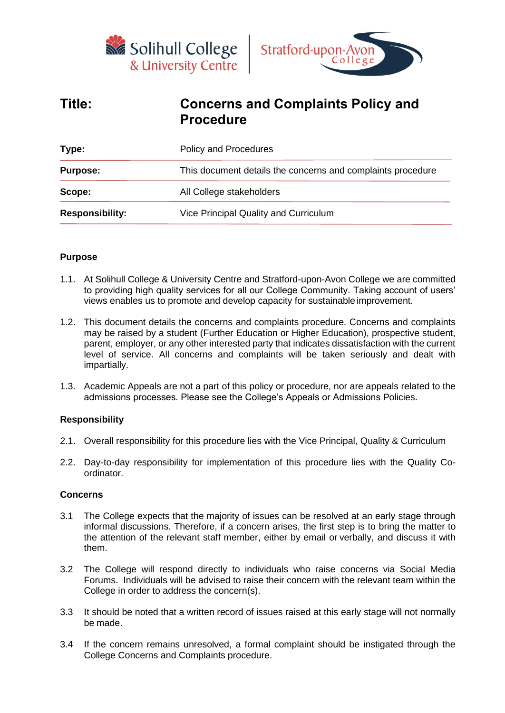



# **Title: Concerns and Complaints Policy and Procedure**

| Type:                  | Policy and Procedures                                       |
|------------------------|-------------------------------------------------------------|
| <b>Purpose:</b>        | This document details the concerns and complaints procedure |
| Scope:                 | All College stakeholders                                    |
| <b>Responsibility:</b> | Vice Principal Quality and Curriculum                       |
|                        |                                                             |

#### **Purpose**

- 1.1. At Solihull College & University Centre and Stratford-upon-Avon College we are committed to providing high quality services for all our College Community. Taking account of users' views enables us to promote and develop capacity for sustainable improvement.
- 1.2. This document details the concerns and complaints procedure. Concerns and complaints may be raised by a student (Further Education or Higher Education), prospective student, parent, employer, or any other interested party that indicates dissatisfaction with the current level of service. All concerns and complaints will be taken seriously and dealt with impartially.
- 1.3. Academic Appeals are not a part of this policy or procedure, nor are appeals related to the admissions processes. Please see the College's Appeals or Admissions Policies.

## **Responsibility**

- 2.1. Overall responsibility for this procedure lies with the Vice Principal, Quality & Curriculum
- 2.2. Day-to-day responsibility for implementation of this procedure lies with the Quality Coordinator.

#### **Concerns**

- 3.1 The College expects that the majority of issues can be resolved at an early stage through informal discussions. Therefore, if a concern arises, the first step is to bring the matter to the attention of the relevant staff member, either by email or verbally, and discuss it with them.
- 3.2 The College will respond directly to individuals who raise concerns via Social Media Forums. Individuals will be advised to raise their concern with the relevant team within the College in order to address the concern(s).
- 3.3 It should be noted that a written record of issues raised at this early stage will not normally be made.
- 3.4 If the concern remains unresolved, a formal complaint should be instigated through the College Concerns and Complaints procedure.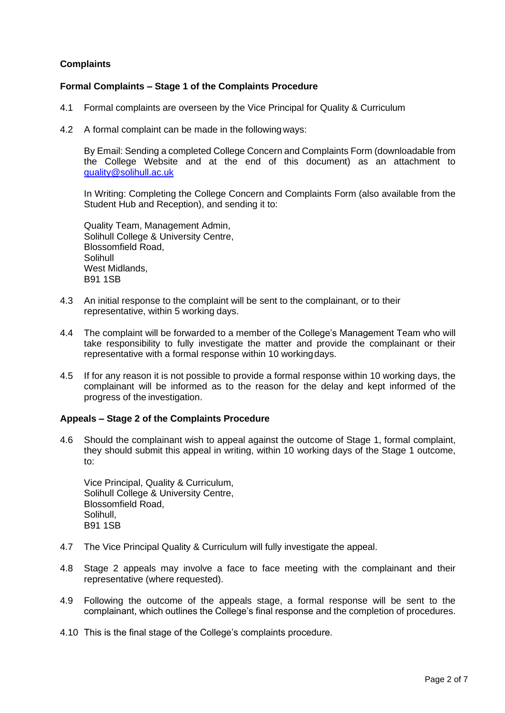## **Complaints**

## **Formal Complaints – Stage 1 of the Complaints Procedure**

- 4.1 Formal complaints are overseen by the Vice Principal for Quality & Curriculum
- 4.2 A formal complaint can be made in the followingways:

By Email: Sending a completed College Concern and Complaints Form (downloadable from the College Website and at the end of this document) as an attachment to [quality@solihull.ac.uk](mailto:quality.mailbox@solihull.ac.uk)

In Writing: Completing the College Concern and Complaints Form (also available from the Student Hub and Reception), and sending it to:

Quality Team, Management Admin, Solihull College & University Centre, Blossomfield Road, **Solihull** West Midlands. B91 1SB

- 4.3 An initial response to the complaint will be sent to the complainant, or to their representative, within 5 working days.
- 4.4 The complaint will be forwarded to a member of the College's Management Team who will take responsibility to fully investigate the matter and provide the complainant or their representative with a formal response within 10 workingdays.
- 4.5 If for any reason it is not possible to provide a formal response within 10 working days, the complainant will be informed as to the reason for the delay and kept informed of the progress of the investigation.

#### **Appeals – Stage 2 of the Complaints Procedure**

4.6 Should the complainant wish to appeal against the outcome of Stage 1, formal complaint, they should submit this appeal in writing, within 10 working days of the Stage 1 outcome, to:

Vice Principal, Quality & Curriculum, Solihull College & University Centre, Blossomfield Road, Solihull, B91 1SB

- 4.7 The Vice Principal Quality & Curriculum will fully investigate the appeal.
- 4.8 Stage 2 appeals may involve a face to face meeting with the complainant and their representative (where requested).
- 4.9 Following the outcome of the appeals stage, a formal response will be sent to the complainant, which outlines the College's final response and the completion of procedures.
- 4.10 This is the final stage of the College's complaints procedure.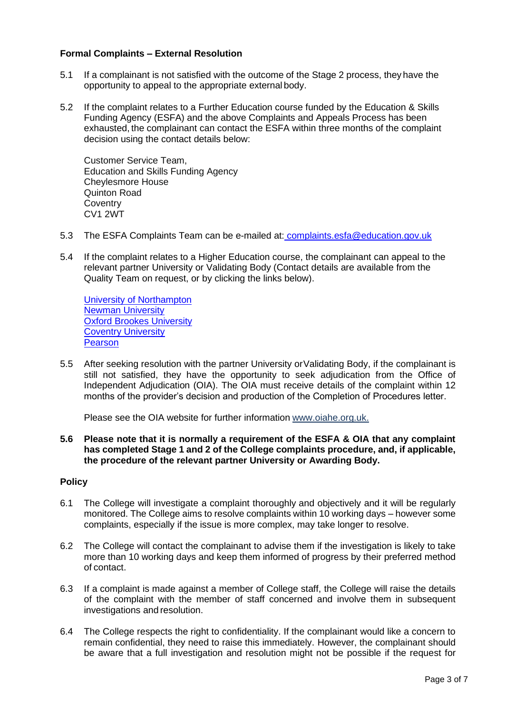## **Formal Complaints – External Resolution**

- 5.1 If a complainant is not satisfied with the outcome of the Stage 2 process, they have the opportunity to appeal to the appropriate external body.
- 5.2 If the complaint relates to a Further Education course funded by the Education & Skills Funding Agency (ESFA) and the above Complaints and Appeals Process has been exhausted, the complainant can contact the ESFA within three months of the complaint decision using the contact details below:

Customer Service Team, Education and Skills Funding Agency Cheylesmore House Quinton Road **Coventry** CV1 2WT

- 5.3 The ESFA Complaints Team can be e-mailed at: [complaints.esfa@education.gov.uk](mailto:complaints.esfa@education.gov.uk)
- 5.4 If the complaint relates to a Higher Education course, the complainant can appeal to the relevant partner University or Validating Body (Contact details are available from the Quality Team on request, or by clicking the links below).

[University of Northampton](https://searchtundra.northampton.ac.uk/?tag=57def9fe-ef88-462b-a8cc-06e5352fc9f2) [Newman University](http://www.newman.ac.uk/policies/2288/complaints-policies) [Oxford Brookes University](https://www.brookes.ac.uk/students/sirt/student-complaints/) **[Coventry University](https://www.coventry.ac.uk/the-university/key-information/registry/raising-a-concern-or-making-a-complaint/) [Pearson](https://qualifications.pearson.com/en/contact-us/feedback-and-complaints.html)** 

5.5 After seeking resolution with the partner University orValidating Body, if the complainant is still not satisfied, they have the opportunity to seek adjudication from the Office of Independent Adjudication (OIA). The OIA must receive details of the complaint within 12 months of the provider's decision and production of the Completion of Procedures letter.

Please see the OIA website for further information [www.oiahe.org.uk.](http://www.oiahe.org.uk/)

**5.6 Please note that it is normally a requirement of the ESFA & OIA that any complaint has completed Stage 1 and 2 of the College complaints procedure, and, if applicable, the procedure of the relevant partner University or Awarding Body.**

## **Policy**

- 6.1 The College will investigate a complaint thoroughly and objectively and it will be regularly monitored. The College aims to resolve complaints within 10 working days – however some complaints, especially if the issue is more complex, may take longer to resolve.
- 6.2 The College will contact the complainant to advise them if the investigation is likely to take more than 10 working days and keep them informed of progress by their preferred method of contact.
- 6.3 If a complaint is made against a member of College staff, the College will raise the details of the complaint with the member of staff concerned and involve them in subsequent investigations and resolution.
- 6.4 The College respects the right to confidentiality. If the complainant would like a concern to remain confidential, they need to raise this immediately. However, the complainant should be aware that a full investigation and resolution might not be possible if the request for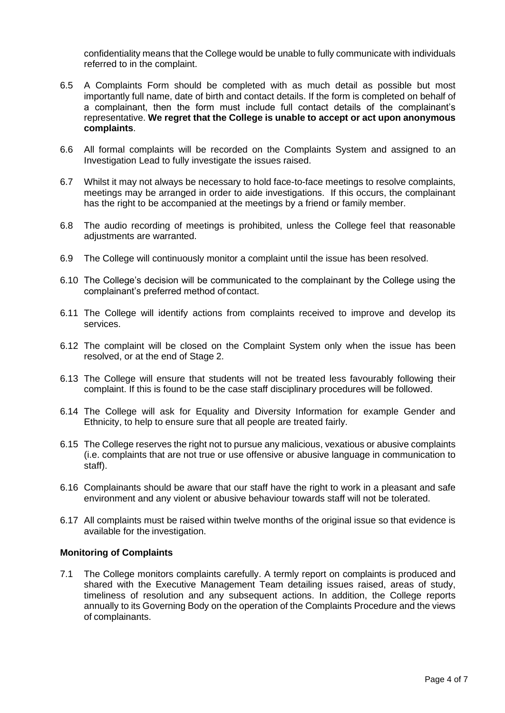confidentiality means that the College would be unable to fully communicate with individuals referred to in the complaint.

- 6.5 A Complaints Form should be completed with as much detail as possible but most importantly full name, date of birth and contact details. If the form is completed on behalf of a complainant, then the form must include full contact details of the complainant's representative. **We regret that the College is unable to accept or act upon anonymous complaints**.
- 6.6 All formal complaints will be recorded on the Complaints System and assigned to an Investigation Lead to fully investigate the issues raised.
- 6.7 Whilst it may not always be necessary to hold face-to-face meetings to resolve complaints, meetings may be arranged in order to aide investigations. If this occurs, the complainant has the right to be accompanied at the meetings by a friend or family member.
- 6.8 The audio recording of meetings is prohibited, unless the College feel that reasonable adjustments are warranted.
- 6.9 The College will continuously monitor a complaint until the issue has been resolved.
- 6.10 The College's decision will be communicated to the complainant by the College using the complainant's preferred method of contact.
- 6.11 The College will identify actions from complaints received to improve and develop its services.
- 6.12 The complaint will be closed on the Complaint System only when the issue has been resolved, or at the end of Stage 2.
- 6.13 The College will ensure that students will not be treated less favourably following their complaint. If this is found to be the case staff disciplinary procedures will be followed.
- 6.14 The College will ask for Equality and Diversity Information for example Gender and Ethnicity, to help to ensure sure that all people are treated fairly.
- 6.15 The College reserves the right not to pursue any malicious, vexatious or abusive complaints (i.e. complaints that are not true or use offensive or abusive language in communication to staff).
- 6.16 Complainants should be aware that our staff have the right to work in a pleasant and safe environment and any violent or abusive behaviour towards staff will not be tolerated.
- 6.17 All complaints must be raised within twelve months of the original issue so that evidence is available for the investigation.

## **Monitoring of Complaints**

7.1 The College monitors complaints carefully. A termly report on complaints is produced and shared with the Executive Management Team detailing issues raised, areas of study, timeliness of resolution and any subsequent actions. In addition, the College reports annually to its Governing Body on the operation of the Complaints Procedure and the views of complainants.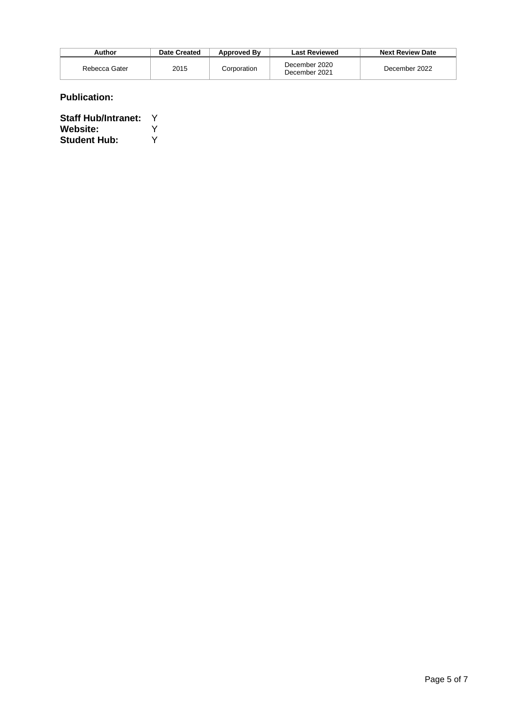| Author        | Date Created | <b>Approved By</b> | <b>Last Reviewed</b>           | <b>Next Review Date</b> |
|---------------|--------------|--------------------|--------------------------------|-------------------------|
| Rebecca Gater | 2015         | Corporation        | December 2020<br>December 2021 | December 2022           |

## **Publication:**

| <b>Staff Hub/Intranet:</b> | v |
|----------------------------|---|
| <b>Website:</b>            | v |
| <b>Student Hub:</b>        | v |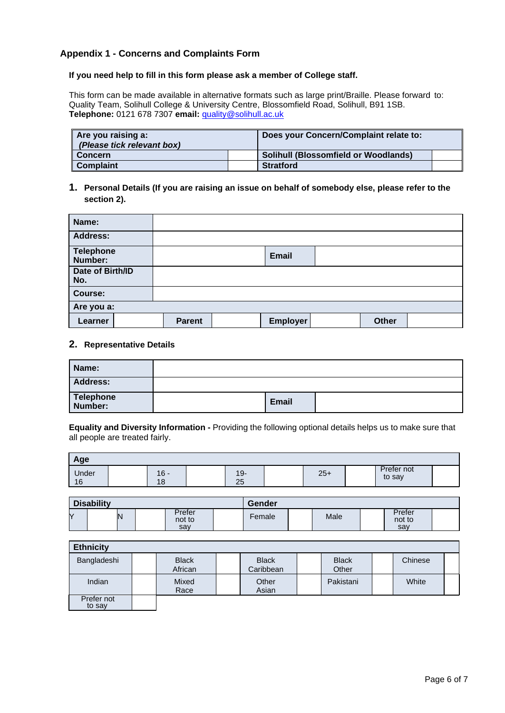## **Appendix 1 - Concerns and Complaints Form**

#### **If you need help to fill in this form please ask a member of College staff.**

This form can be made available in alternative formats such as large print/Braille. Please forward to: Quality Team, Solihull College & University Centre, Blossomfield Road, Solihull, B91 1SB. **Telephone:** 0121 678 7307 **email:** [quality@solihull.ac.uk](mailto:quality@solihull.ac.uk)

| Are you raising a:<br>(Please tick relevant box) | Does your Concern/Complaint relate to:      |  |
|--------------------------------------------------|---------------------------------------------|--|
| Concern                                          | <b>Solihull (Blossomfield or Woodlands)</b> |  |
| <b>Complaint</b>                                 | <b>Stratford</b>                            |  |

#### **1. Personal Details (If you are raising an issue on behalf of somebody else, please refer to the section 2).**

| Name:                       |               |              |              |  |
|-----------------------------|---------------|--------------|--------------|--|
| <b>Address:</b>             |               |              |              |  |
| <b>Telephone</b><br>Number: |               | <b>Email</b> |              |  |
| Date of Birth/ID<br>No.     |               |              |              |  |
| Course:                     |               |              |              |  |
| Are you a:                  |               |              |              |  |
| Learner                     | <b>Parent</b> | Employer     | <b>Other</b> |  |

#### **2. Representative Details**

| Name:                       |              |  |
|-----------------------------|--------------|--|
| <b>Address:</b>             |              |  |
| <b>Telephone</b><br>Number: | <b>Email</b> |  |

**Equality and Diversity Information -** Providing the following optional details helps us to make sure that all people are treated fairly.

| Age         |                     |                    |       |                      |  |
|-------------|---------------------|--------------------|-------|----------------------|--|
| Under<br>16 | $16 -$<br>4 O<br>۱O | $19 -$<br>つに<br>∠∪ | $25+$ | Prefer not<br>to say |  |

| <b>Disability</b> |    |  |                         | Gender |        |  |      |  |                         |  |
|-------------------|----|--|-------------------------|--------|--------|--|------|--|-------------------------|--|
| Y                 | IN |  | Prefer<br>not to<br>say |        | Female |  | Male |  | Prefer<br>not to<br>say |  |

| <b>Ethnicity</b>     |                         |                           |                       |         |  |
|----------------------|-------------------------|---------------------------|-----------------------|---------|--|
| Bangladeshi          | <b>Black</b><br>African | <b>Black</b><br>Caribbean | <b>Black</b><br>Other | Chinese |  |
| Indian               | Mixed<br>Race           | Other<br>Asian            | Pakistani             | White   |  |
| Prefer not<br>to say |                         |                           |                       |         |  |